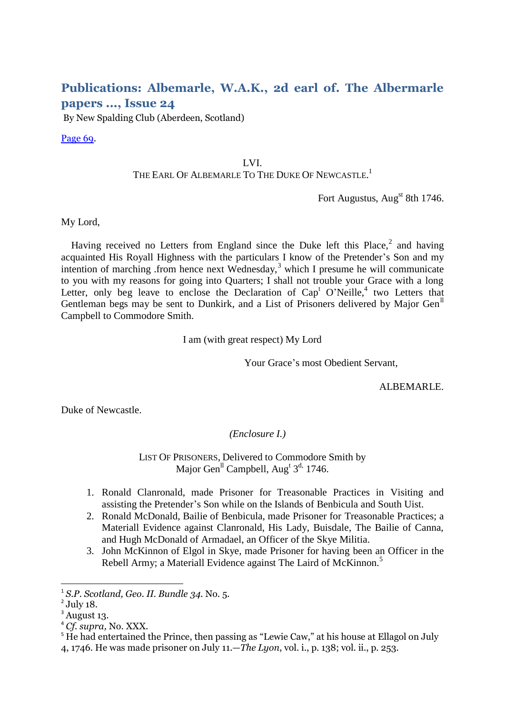## **Publications: Albemarle, W.A.K., 2d earl of. The Albermarle papers ..., Issue 24**

By New Spalding Club (Aberdeen, Scotland)

[Page 69.](http://books.google.com/books?id=sHYuAAAAMAAJ&lpg=PA69&ots=I8wSL5XMzP&dq=%2BGartrigill&pg=PA71#v=onepage&q=+Gartrigill&f=false)

## LVI. THE EARL OF ALBEMARLE TO THE DUKE OF NEWCASTLE.<sup>1</sup>

Fort Augustus, Aug<sup>st</sup> 8th 1746.

My Lord,

Having received no Letters from England since the Duke left this Place, $2$  and having acquainted His Royall Highness with the particulars I know of the Pretender's Son and my intention of marching .from hence next Wednesday,<sup>3</sup> which I presume he will communicate to you with my reasons for going into Quarters; I shall not trouble your Grace with a long Letter, only beg leave to enclose the Declaration of  $Cap<sup>t</sup> O'Neille<sup>4</sup>$  two Letters that Gentleman begs may be sent to Dunkirk, and a List of Prisoners delivered by Major Gen<sup>ll</sup> Campbell to Commodore Smith.

I am (with great respect) My Lord

Your Grace's most Obedient Servant,

ALBEMARLE.

Duke of Newcastle.

*(Enclosure I.)*

LIST OF PRISONERS, Delivered to Commodore Smith by Major Gen<sup>ll</sup> Campbell, Aug<sup>t 3d,</sup> 1746.

- 1. Ronald Clanronald, made Prisoner for Treasonable Practices in Visiting and assisting the Pretender's Son while on the Islands of Benbicula and South Uist.
- 2. Ronald McDonald, Bailie of Benbicula, made Prisoner for Treasonable Practices; a Materiall Evidence against Clanronald, His Lady, Buisdale, The Bailie of Canna, and Hugh McDonald of Armadael, an Officer of the Skye Militia.
- 3. John McKinnon of Elgol in Skye, made Prisoner for having been an Officer in the Rebell Army; a Materiall Evidence against The Laird of McKinnon.<sup>5</sup>

 1 *S.P. Scotland, Geo. II. Bundle 34*. No. 5.

 $<sup>2</sup>$  July 18.</sup>

<sup>&</sup>lt;sup>3</sup> August 13.

<sup>4</sup> *Cf. supra,* No. XXX.

<sup>&</sup>lt;sup>5</sup> He had entertained the Prince, then passing as "Lewie Caw," at his house at Ellagol on July 4, 1746. He was made prisoner on July 11.—*The Lyon*, vol. i., p. 138; vol. ii., p. 253.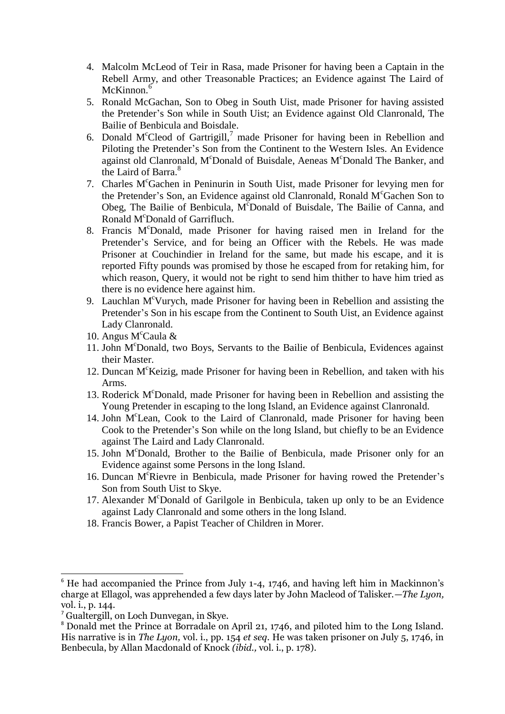- 4. Malcolm McLeod of Teir in Rasa, made Prisoner for having been a Captain in the Rebell Army, and other Treasonable Practices; an Evidence against The Laird of McKinnon.<sup>6</sup>
- 5. Ronald McGachan, Son to Obeg in South Uist, made Prisoner for having assisted the Pretender's Son while in South Uist; an Evidence against Old Clanronald, The Bailie of Benbicula and Boisdale.
- 6. Donald M<sup>c</sup>Cleod of Gartrigill,<sup>7</sup> made Prisoner for having been in Rebellion and Piloting the Pretender's Son from the Continent to the Western Isles. An Evidence against old Clanronald, M<sup>c</sup>Donald of Buisdale, Aeneas M<sup>c</sup>Donald The Banker, and the Laird of Barra.<sup>8</sup>
- 7. Charles M<sup>c</sup>Gachen in Peninurin in South Uist, made Prisoner for levying men for the Pretender's Son, an Evidence against old Clanronald, Ronald M<sup>c</sup>Gachen Son to Obeg, The Bailie of Benbicula, M°Donald of Buisdale, The Bailie of Canna, and Ronald M<sup>c</sup>Donald of Garrifluch.
- 8. Francis M<sup>c</sup>Donald, made Prisoner for having raised men in Ireland for the Pretender's Service, and for being an Officer with the Rebels. He was made Prisoner at Couchindier in Ireland for the same, but made his escape, and it is reported Fifty pounds was promised by those he escaped from for retaking him, for which reason, Query, it would not be right to send him thither to have him tried as there is no evidence here against him.
- 9. Lauchlan  $M<sup>c</sup>$ Vurych, made Prisoner for having been in Rebellion and assisting the Pretender's Son in his escape from the Continent to South Uist, an Evidence against Lady Clanronald.
- 10. Angus M<sup>c</sup>Caula &
- 11. John M<sup>c</sup>Donald, two Boys, Servants to the Bailie of Benbicula, Evidences against their Master.
- 12. Duncan M<sup>c</sup>Keizig, made Prisoner for having been in Rebellion, and taken with his Arms.
- 13. Roderick M<sup>c</sup>Donald, made Prisoner for having been in Rebellion and assisting the Young Pretender in escaping to the long Island, an Evidence against Clanronald.
- 14. John M<sup>c</sup>Lean, Cook to the Laird of Clanronald, made Prisoner for having been Cook to the Pretender's Son while on the long Island, but chiefly to be an Evidence against The Laird and Lady Clanronald.
- 15. John M<sup>c</sup>Donald, Brother to the Bailie of Benbicula, made Prisoner only for an Evidence against some Persons in the long Island.
- 16. Duncan M<sup>c</sup>Rievre in Benbicula, made Prisoner for having rowed the Pretender's Son from South Uist to Skye.
- 17. Alexander M<sup>c</sup>Donald of Garilgole in Benbicula, taken up only to be an Evidence against Lady Clanronald and some others in the long Island.
- 18. Francis Bower, a Papist Teacher of Children in Morer.

1

 $6$  He had accompanied the Prince from July 1-4, 1746, and having left him in Mackinnon's charge at Ellagol, was apprehended a few days later by John Macleod of Talisker.—*The Lyon,*  vol. i., p. 144.

<sup>7</sup> Gualtergill, on Loch Dunvegan, in Skye.

<sup>8</sup> Donald met the Prince at Borradale on April 21, 1746, and piloted him to the Long Island. His narrative is in *The Lyon,* vol. i., pp. 154 *et seq.* He was taken prisoner on July 5, 1746, in Benbecula, by Allan Macdonald of Knock *(ibid.,* vol. i., p. 178).